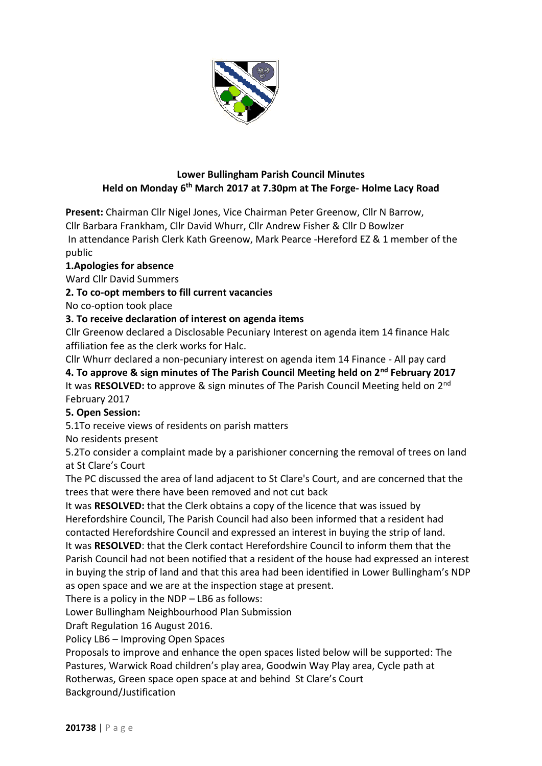

# **Lower Bullingham Parish Council Minutes Held on Monday 6 th March 2017 at 7.30pm at The Forge- Holme Lacy Road**

**Present:** Chairman Cllr Nigel Jones, Vice Chairman Peter Greenow, Cllr N Barrow,

Cllr Barbara Frankham, Cllr David Whurr, Cllr Andrew Fisher & Cllr D Bowlzer In attendance Parish Clerk Kath Greenow, Mark Pearce -Hereford EZ & 1 member of the

public

# **1.Apologies for absence**

Ward Cllr David Summers

# **2. To co-opt members to fill current vacancies**

No co-option took place

# **3. To receive declaration of interest on agenda items**

Cllr Greenow declared a Disclosable Pecuniary Interest on agenda item 14 finance Halc affiliation fee as the clerk works for Halc.

Cllr Whurr declared a non-pecuniary interest on agenda item 14 Finance - All pay card

**4. To approve & sign minutes of The Parish Council Meeting held on 2nd February 2017** It was **RESOLVED:** to approve & sign minutes of The Parish Council Meeting held on 2nd February 2017

### **5. Open Session:**

5.1To receive views of residents on parish matters

No residents present

5.2To consider a complaint made by a parishioner concerning the removal of trees on land at St Clare's Court

The PC discussed the area of land adjacent to St Clare's Court, and are concerned that the trees that were there have been removed and not cut back

It was **RESOLVED:** that the Clerk obtains a copy of the licence that was issued by Herefordshire Council, The Parish Council had also been informed that a resident had contacted Herefordshire Council and expressed an interest in buying the strip of land. It was **RESOLVED**: that the Clerk contact Herefordshire Council to inform them that the Parish Council had not been notified that a resident of the house had expressed an interest in buying the strip of land and that this area had been identified in Lower Bullingham's NDP as open space and we are at the inspection stage at present.

There is a policy in the NDP – LB6 as follows:

Lower Bullingham Neighbourhood Plan Submission

Draft Regulation 16 August 2016.

Policy LB6 – Improving Open Spaces

Proposals to improve and enhance the open spaces listed below will be supported: The Pastures, Warwick Road children's play area, Goodwin Way Play area, Cycle path at Rotherwas, Green space open space at and behind St Clare's Court Background/Justification

**201738** | P a g e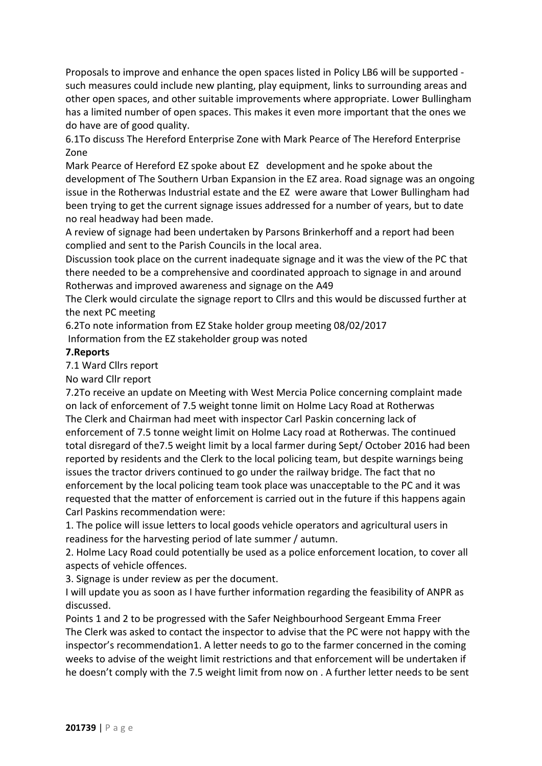Proposals to improve and enhance the open spaces listed in Policy LB6 will be supported such measures could include new planting, play equipment, links to surrounding areas and other open spaces, and other suitable improvements where appropriate. Lower Bullingham has a limited number of open spaces. This makes it even more important that the ones we do have are of good quality.

6.1To discuss The Hereford Enterprise Zone with Mark Pearce of The Hereford Enterprise Zone

Mark Pearce of Hereford EZ spoke about EZ development and he spoke about the development of The Southern Urban Expansion in the EZ area. Road signage was an ongoing issue in the Rotherwas Industrial estate and the EZ were aware that Lower Bullingham had been trying to get the current signage issues addressed for a number of years, but to date no real headway had been made.

A review of signage had been undertaken by Parsons Brinkerhoff and a report had been complied and sent to the Parish Councils in the local area.

Discussion took place on the current inadequate signage and it was the view of the PC that there needed to be a comprehensive and coordinated approach to signage in and around Rotherwas and improved awareness and signage on the A49

The Clerk would circulate the signage report to Cllrs and this would be discussed further at the next PC meeting

6.2To note information from EZ Stake holder group meeting 08/02/2017 Information from the EZ stakeholder group was noted

#### **7.Reports**

7.1 Ward Cllrs report

No ward Cllr report

7.2To receive an update on Meeting with West Mercia Police concerning complaint made on lack of enforcement of 7.5 weight tonne limit on Holme Lacy Road at Rotherwas The Clerk and Chairman had meet with inspector Carl Paskin concerning lack of enforcement of 7.5 tonne weight limit on Holme Lacy road at Rotherwas. The continued total disregard of the7.5 weight limit by a local farmer during Sept/ October 2016 had been reported by residents and the Clerk to the local policing team, but despite warnings being issues the tractor drivers continued to go under the railway bridge. The fact that no enforcement by the local policing team took place was unacceptable to the PC and it was requested that the matter of enforcement is carried out in the future if this happens again Carl Paskins recommendation were:

1. The police will issue letters to local goods vehicle operators and agricultural users in readiness for the harvesting period of late summer / autumn.

2. Holme Lacy Road could potentially be used as a police enforcement location, to cover all aspects of vehicle offences.

3. Signage is under review as per the document.

I will update you as soon as I have further information regarding the feasibility of ANPR as discussed.

Points 1 and 2 to be progressed with the Safer Neighbourhood Sergeant Emma Freer The Clerk was asked to contact the inspector to advise that the PC were not happy with the inspector's recommendation1. A letter needs to go to the farmer concerned in the coming weeks to advise of the weight limit restrictions and that enforcement will be undertaken if he doesn't comply with the 7.5 weight limit from now on . A further letter needs to be sent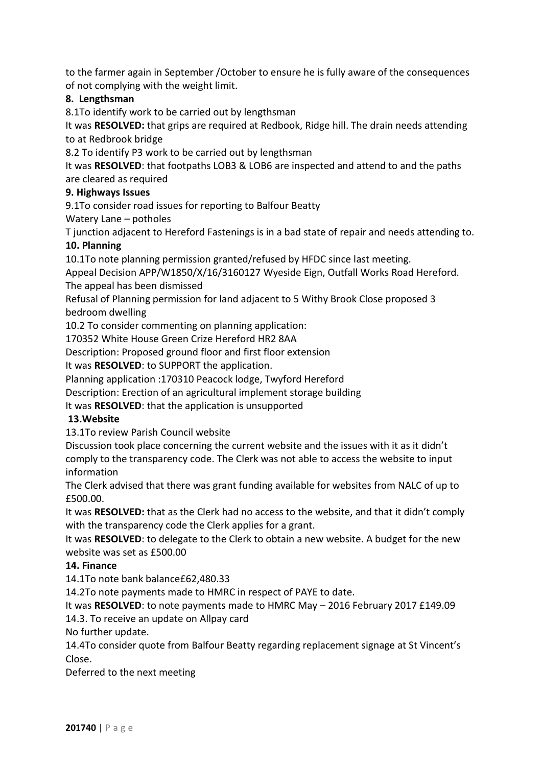to the farmer again in September /October to ensure he is fully aware of the consequences of not complying with the weight limit.

# **8. Lengthsman**

8.1To identify work to be carried out by lengthsman

It was **RESOLVED:** that grips are required at Redbook, Ridge hill. The drain needs attending to at Redbrook bridge

8.2 To identify P3 work to be carried out by lengthsman

It was **RESOLVED**: that footpaths LOB3 & LOB6 are inspected and attend to and the paths are cleared as required

# **9. Highways Issues**

9.1To consider road issues for reporting to Balfour Beatty

# Watery Lane – potholes

T junction adjacent to Hereford Fastenings is in a bad state of repair and needs attending to.

### **10. Planning**

10.1To note planning permission granted/refused by HFDC since last meeting.

Appeal Decision APP/W1850/X/16/3160127 Wyeside Eign, Outfall Works Road Hereford. The appeal has been dismissed

Refusal of Planning permission for land adjacent to 5 Withy Brook Close proposed 3 bedroom dwelling

10.2 To consider commenting on planning application:

170352 White House Green Crize Hereford HR2 8AA

Description: Proposed ground floor and first floor extension

It was **RESOLVED**: to SUPPORT the application.

Planning application :170310 Peacock lodge, Twyford Hereford

Description: Erection of an agricultural implement storage building

It was **RESOLVED**: that the application is unsupported

### **13.Website**

13.1To review Parish Council website

Discussion took place concerning the current website and the issues with it as it didn't comply to the transparency code. The Clerk was not able to access the website to input information

The Clerk advised that there was grant funding available for websites from NALC of up to £500.00.

It was **RESOLVED:** that as the Clerk had no access to the website, and that it didn't comply with the transparency code the Clerk applies for a grant.

It was **RESOLVED**: to delegate to the Clerk to obtain a new website. A budget for the new website was set as £500.00

### **14. Finance**

14.1To note bank balance£62,480.33

14.2To note payments made to HMRC in respect of PAYE to date.

It was **RESOLVED**: to note payments made to HMRC May – 2016 February 2017 £149.09 14.3. To receive an update on Allpay card

No further update.

14.4To consider quote from Balfour Beatty regarding replacement signage at St Vincent's Close.

Deferred to the next meeting